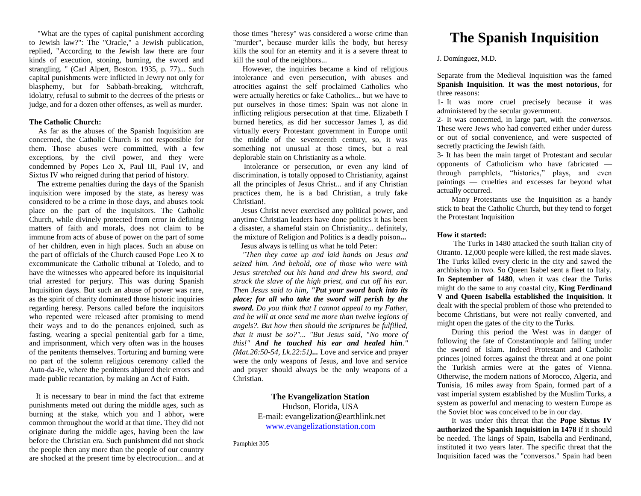"What are the types of capital punishment according to Jewish law?": The "Oracle," a Jewish publication, replied, "According to the Jewish law there are four kinds of execution, stoning, burning, the sword and strangling. " (Carl Alpert, Boston. 1935, p. 77)... Such capital punishments were inflicted in Jewry not only for blasphemy, but for Sabbath-breaking, witchcraft, idolatry, refusal to submit to the decrees of the priests or judge, and for a dozen other offenses, as well as murder.

### **The Catholic Church:**

 As far as the abuses of the Spanish Inquisition are concerned, the Catholic Church is not responsible for them. Those abuses were committed, with a few exceptions, by the civil power, and they were condemned by Popes Leo X, Paul III, Paul IV, and Sixtus IV who reigned during that period of history.

 The extreme penalties during the days of the Spanish inquisition were imposed by the state, as heresy was considered to be a crime in those days, and abuses took place on the part of the inquisitors. The Catholic Church, while divinely protected from error in defining matters of faith and morals, does not claim to be immune from acts of abuse of power on the part of some of her children, even in high places. Such an abuse on the part of officials of the Church caused Pope Leo X to excommunicate the Catholic tribunal at Toledo, and to have the witnesses who appeared before its inquisitorial trial arrested for perjury. This was during Spanish Inquisition days. But such an abuse of power was rare, as the spirit of charity dominated those historic inquiries regarding heresy. Persons called before the inquisitors who repented were released after promising to mend their ways and to do the penances enjoined, such as fasting, wearing a special penitential garb for a time, and imprisonment, which very often was in the houses of the penitents themselves. Torturing and burning were no part of the solemn religious ceremony called the Auto-da-Fe, where the penitents abjured their errors and made public recantation, by making an Act of Faith.

 It is necessary to bear in mind the fact that extreme punishments meted out during the middle ages, such as burning at the stake, which you and I abhor**,** were common throughout the world at that time**.** They did not originate during the middle ages, having been the law before the Christian era. Such punishment did not shock the people then any more than the people of our country are shocked at the present time by electrocution... and at

those times "heresy" was considered a worse crime than "murder", because murder kills the body, but heresy kills the soul for an eternity and it is a severe threat to kill the soul of the neighbors...

 However, the inquiries became a kind of religious intolerance and even persecution, with abuses and atrocities against the self proclaimed Catholics who were actually heretics or fake Catholics... but we have to put ourselves in those times: Spain was not alone in inflicting religious persecution at that time. Elizabeth I burned heretics, as did her successor James I, as did virtually every Protestant government in Europe until the middle of the seventeenth century, so, it was something not unusual at those times, but a real deplorable stain on Christianity as a whole.

 Intolerance or persecution, or even any kind of discrimination, is totally opposed to Christianity, against all the principles of Jesus Christ... and if any Christian practices them, he is a bad Christian, a truly fake Christian!.

 Jesus Christ never exercised any political power, and anytime Christian leaders have done politics it has been a disaster, a shameful stain on Christianity... definitely, the mixture of Religion and Politics is a deadly poison**...**  Jesus always is telling us what he told Peter:

 *"Then they came up and laid hands on Jesus and seized him. And behold, one of those who were with Jesus stretched out his hand and drew his sword, and struck the slave of the high priest, and cut off his ear. Then Jesus said to him, "Put your sword back into its place; for all who take the sword will perish by the sword. Do you think that I cannot appeal to my Father, and he will at once send me more than twelve legions of angels?. But how then should the scriptures be fulfilled, that it must be so?"... "But Jesus said, "No more of this!" And he touched his ear and healed him." (Mat.26:50-54, Lk.22:51)...* Love and service and prayer were the only weapons of Jesus, and love and service and prayer should always be the only weapons of a Christian.

> **The Evangelization Station** Hudson, Florida, USA E-mail: evangelization@earthlink.net [www.evangelizationstation.com](http://www.pjpiisoe.org/)

Pamphlet 305

# **The Spanish Inquisition**

J. Domínguez, M.D.

Separate from the Medieval Inquisition was the famed **Spanish Inquisition**. **It was the most notorious**, for three reasons:

1- It was more cruel precisely because it was administered by the secular government.

2- It was concerned, in large part, with the *conversos*. These were Jews who had converted either under duress or out of social convenience, and were suspected of secretly practicing the Jewish faith.

3- It has been the main target of Protestant and secular opponents of Catholicism who have fabricated through pamphlets, "histories," plays, and even paintings — cruelties and excesses far beyond what actually occurred.

Many Protestants use the Inquisition as a handy stick to beat the Catholic Church, but they tend to forget the Protestant Inquisition

## **How it started:**

The Turks in 1480 attacked the south Italian city of Otranto. 12,000 people were killed, the rest made slaves. The Turks killed every cleric in the city and sawed the archbishop in two. So Queen Isabel sent a fleet to Italy. **In September of 1480**, when it was clear the Turks might do the same to any coastal city, **King Ferdinand V and Queen Isabella established the Inquisition.** It dealt with the special problem of those who pretended to become Christians, but were not really converted, and might open the gates of the city to the Turks.

During this period the West was in danger of following the fate of Constantinople and falling under the sword of Islam. Indeed Protestant and Catholic princes joined forces against the threat and at one point the Turkish armies were at the gates of Vienna. Otherwise, the modern nations of Morocco, Algeria, and Tunisia, 16 miles away from Spain, formed part of a vast imperial system established by the Muslim Turks, a system as powerful and menacing to western Europe as the Soviet bloc was conceived to be in our day.

It was under this threat that the **Pope Sixtus IV authorized the Spanish Inquisition in 1478** if it should be needed. The kings of Spain, Isabella and Ferdinand, instituted it two years later. The specific threat that the Inquisition faced was the "conversos." Spain had been